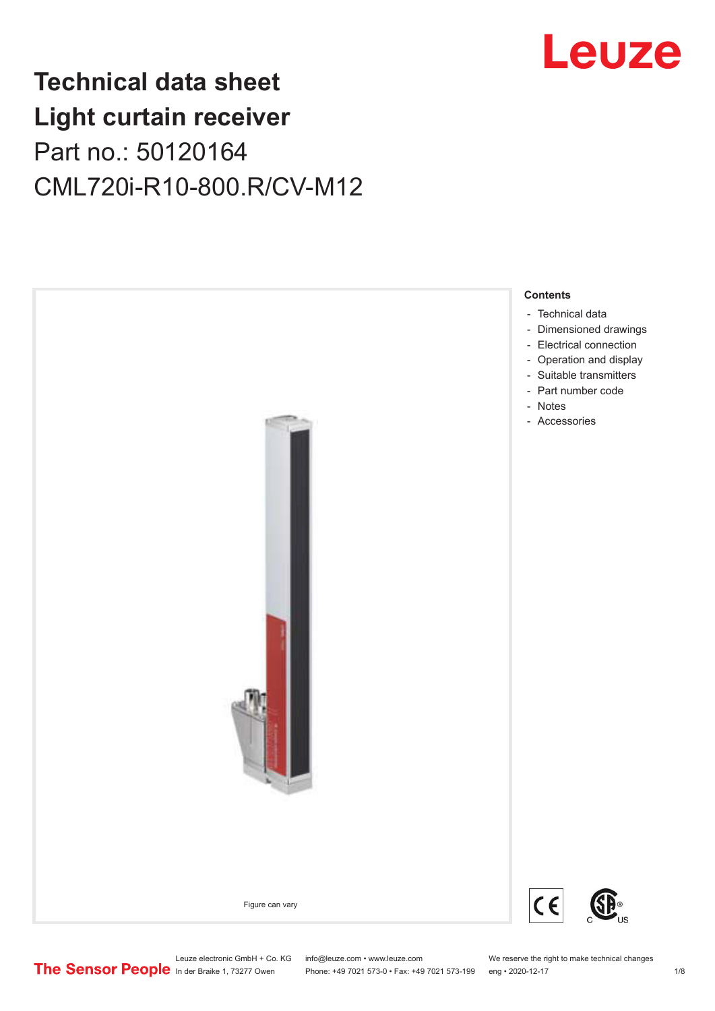

## **Technical data sheet Light curtain receiver** Part no.: 50120164 CML720i-R10-800.R/CV-M12



Leuze electronic GmbH + Co. KG info@leuze.com • www.leuze.com We reserve the right to make technical changes<br>
The Sensor People in der Braike 1, 73277 Owen Phone: +49 7021 573-0 • Fax: +49 7021 573-199 eng • 2020-12-17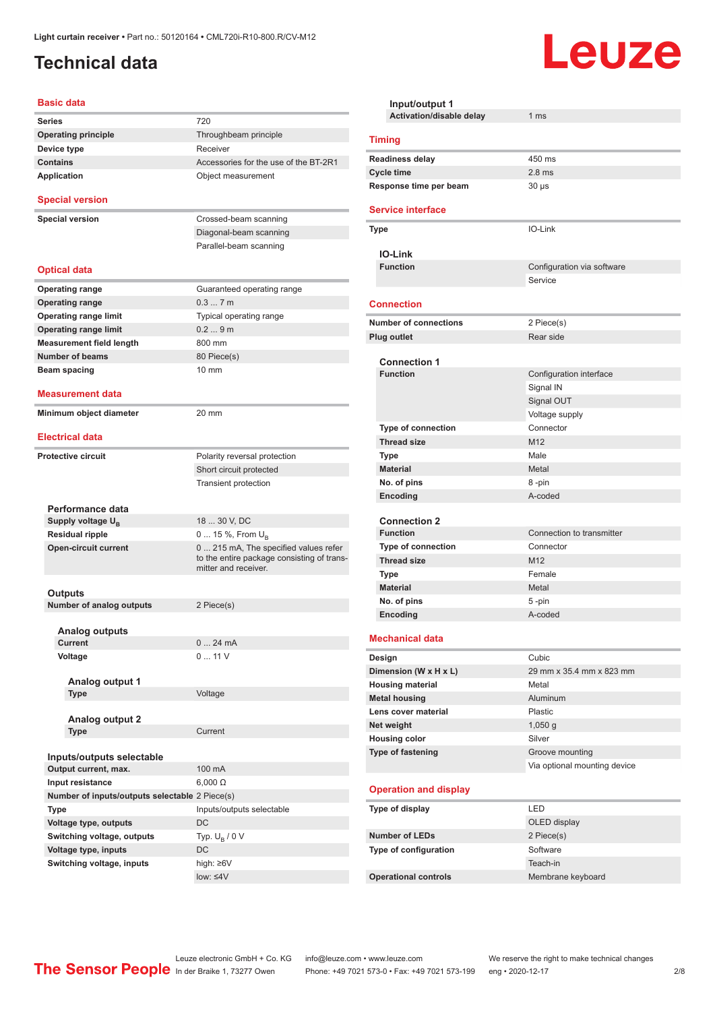## <span id="page-1-0"></span>**Technical data**

#### **Basic data**

| <b>Series</b>                                     | 720                                                                                                        |
|---------------------------------------------------|------------------------------------------------------------------------------------------------------------|
| <b>Operating principle</b>                        | Throughbeam principle                                                                                      |
| Device type                                       | Receiver                                                                                                   |
| <b>Contains</b>                                   | Accessories for the use of the BT-2R1                                                                      |
| <b>Application</b>                                | Object measurement                                                                                         |
| <b>Special version</b>                            |                                                                                                            |
| <b>Special version</b>                            | Crossed-beam scanning                                                                                      |
|                                                   | Diagonal-beam scanning                                                                                     |
|                                                   | Parallel-beam scanning                                                                                     |
|                                                   |                                                                                                            |
| <b>Optical data</b>                               |                                                                                                            |
| <b>Operating range</b>                            | Guaranteed operating range                                                                                 |
| <b>Operating range</b>                            | 0.37m                                                                                                      |
| <b>Operating range limit</b>                      | Typical operating range                                                                                    |
| <b>Operating range limit</b>                      | 0.29m                                                                                                      |
| <b>Measurement field length</b>                   | 800 mm                                                                                                     |
| <b>Number of beams</b>                            | 80 Piece(s)                                                                                                |
| Beam spacing                                      | $10 \text{ mm}$                                                                                            |
|                                                   |                                                                                                            |
| Measurement data                                  |                                                                                                            |
| Minimum object diameter                           | 20 mm                                                                                                      |
|                                                   |                                                                                                            |
| <b>Electrical data</b>                            |                                                                                                            |
| <b>Protective circuit</b>                         | Polarity reversal protection                                                                               |
|                                                   | Short circuit protected                                                                                    |
|                                                   | <b>Transient protection</b>                                                                                |
|                                                   |                                                                                                            |
| Performance data                                  |                                                                                                            |
| Supply voltage U <sub>B</sub>                     | 18  30 V, DC                                                                                               |
| <b>Residual ripple</b>                            | 0  15 %, From U <sub>B</sub>                                                                               |
| <b>Open-circuit current</b>                       | 0 215 mA, The specified values refer<br>to the entire package consisting of trans-<br>mitter and receiver. |
|                                                   |                                                                                                            |
| Outputs                                           |                                                                                                            |
| Number of analog outputs                          | 2 Piece(s)                                                                                                 |
| Analog outputs                                    |                                                                                                            |
| Current                                           | 024mA                                                                                                      |
| Voltage                                           | 011V                                                                                                       |
|                                                   |                                                                                                            |
| Analog output 1                                   |                                                                                                            |
| Type                                              | Voltage                                                                                                    |
|                                                   |                                                                                                            |
| <b>Analog output 2</b>                            |                                                                                                            |
| Type                                              | Current                                                                                                    |
|                                                   |                                                                                                            |
| Inputs/outputs selectable<br>Output current, max. | 100 mA                                                                                                     |
| Input resistance                                  | $6,000 \Omega$                                                                                             |
| Number of inputs/outputs selectable 2 Piece(s)    |                                                                                                            |
|                                                   |                                                                                                            |
| Type                                              | Inputs/outputs selectable                                                                                  |
| Voltage type, outputs                             | DC                                                                                                         |
| Switching voltage, outputs                        | Typ. $U_B / 0 V$                                                                                           |
| Voltage type, inputs                              | DC                                                                                                         |
| Switching voltage, inputs                         | high: ≥6V<br>low: $\leq 4V$                                                                                |
|                                                   |                                                                                                            |

| Input/output 1<br>Activation/disable delay | 1 <sub>ms</sub>              |  |
|--------------------------------------------|------------------------------|--|
|                                            |                              |  |
| <b>Timing</b>                              |                              |  |
| <b>Readiness delay</b>                     | 450 ms                       |  |
| <b>Cycle time</b>                          | $2.8$ ms                     |  |
| Response time per beam                     | $30 \mu s$                   |  |
| <b>Service interface</b>                   |                              |  |
| <b>Type</b>                                | IO-Link                      |  |
| <b>IO-Link</b>                             |                              |  |
| <b>Function</b>                            | Configuration via software   |  |
|                                            | Service                      |  |
| <b>Connection</b>                          |                              |  |
| <b>Number of connections</b>               | 2 Piece(s)                   |  |
| Plug outlet                                | Rear side                    |  |
|                                            |                              |  |
| <b>Connection 1</b><br><b>Function</b>     |                              |  |
|                                            | Configuration interface      |  |
|                                            | Signal IN<br>Signal OUT      |  |
|                                            | Voltage supply               |  |
| Type of connection                         | Connector                    |  |
| <b>Thread size</b>                         | M <sub>12</sub>              |  |
| <b>Type</b>                                | Male                         |  |
| <b>Material</b>                            | Metal                        |  |
| No. of pins                                | 8-pin                        |  |
| Encoding                                   | A-coded                      |  |
|                                            |                              |  |
| <b>Connection 2</b>                        |                              |  |
| <b>Function</b>                            | Connection to transmitter    |  |
| <b>Type of connection</b>                  | Connector                    |  |
| <b>Thread size</b>                         | M <sub>12</sub>              |  |
| <b>Type</b>                                | Female                       |  |
| <b>Material</b>                            | Metal                        |  |
| No. of pins                                | 5-pin                        |  |
| Encoding                                   | A-coded                      |  |
| <b>Mechanical data</b>                     |                              |  |
| Design                                     | Cubic                        |  |
| Dimension (W x H x L)                      | 29 mm x 35.4 mm x 823 mm     |  |
| <b>Housing material</b>                    | Metal                        |  |
| <b>Metal housing</b>                       | Aluminum                     |  |
| Lens cover material                        | Plastic                      |  |
| Net weight                                 | $1,050$ g                    |  |
| <b>Housing color</b>                       | Silver                       |  |
| Type of fastening                          | Groove mounting              |  |
|                                            | Via optional mounting device |  |
| <b>Operation and display</b>               |                              |  |
| Type of display                            | LED                          |  |
|                                            | OLED display                 |  |
| <b>Number of LEDs</b>                      | 2 Piece(s)                   |  |
| Type of configuration                      | Software                     |  |
|                                            | Teach-in                     |  |
| <b>Operational controls</b>                | Membrane keyboard            |  |

Leuze

Leuze electronic GmbH + Co. KG info@leuze.com • www.leuze.com We reserve the right to make technical changes ln der Braike 1, 73277 Owen Phone: +49 7021 573-0 • Fax: +49 7021 573-199 eng • 2020-12-17 2/8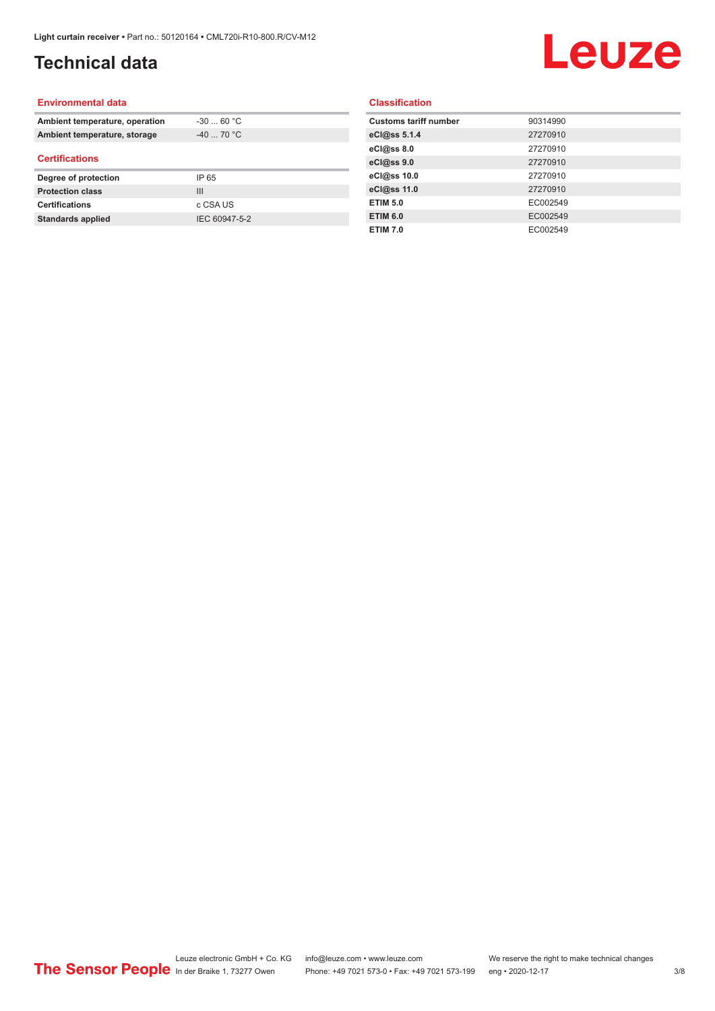## **Technical data**

# Leuze

#### **Environmental data**

| Ambient temperature, operation | $-3060 °C$  |  |
|--------------------------------|-------------|--|
| Ambient temperature, storage   | $-40$ 70 °C |  |
| <b>Certifications</b>          |             |  |
| Degree of protection           | IP 65       |  |
| <b>Protection class</b>        | Ш           |  |
| <b>Certifications</b>          | c CSA US    |  |
|                                |             |  |

#### **Classification**

| <b>Customs tariff number</b> | 90314990 |
|------------------------------|----------|
| eCl@ss 5.1.4                 | 27270910 |
| eCl@ss 8.0                   | 27270910 |
| eCl@ss 9.0                   | 27270910 |
| eCl@ss 10.0                  | 27270910 |
| eCl@ss 11.0                  | 27270910 |
| <b>ETIM 5.0</b>              | EC002549 |
| <b>ETIM 6.0</b>              | EC002549 |
| <b>ETIM 7.0</b>              | EC002549 |
|                              |          |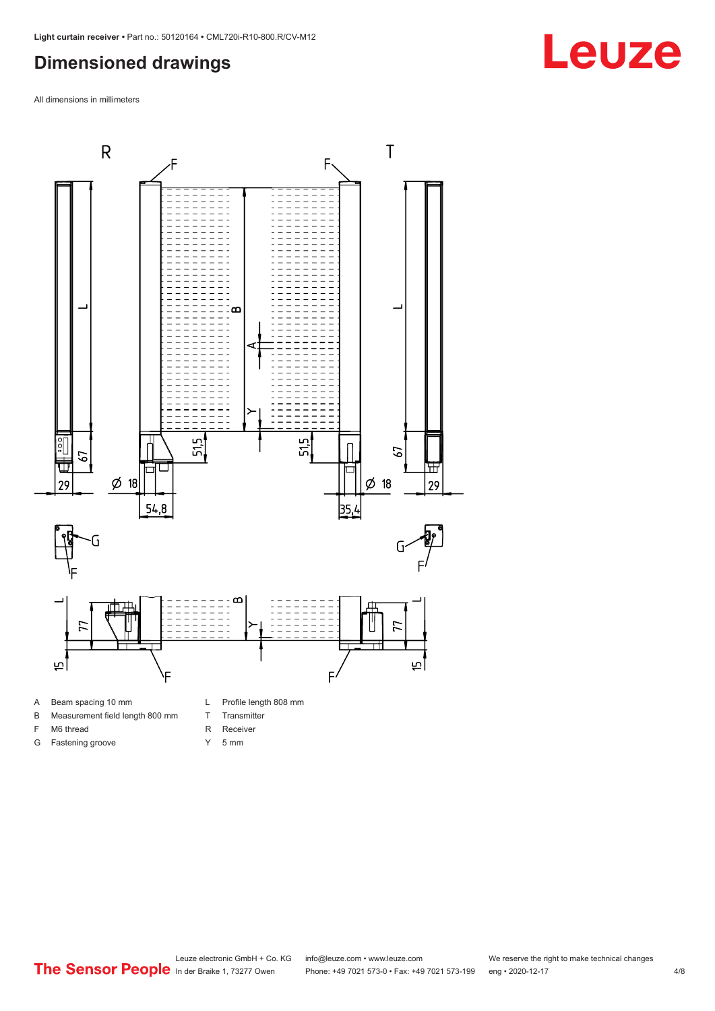## <span id="page-3-0"></span>**Dimensioned drawings**

All dimensions in millimeters



#### B Measurement field length 800 mm

- F M6 thread
- G Fastening groove
- T Transmitter
- R Receiver
- Y 5 mm

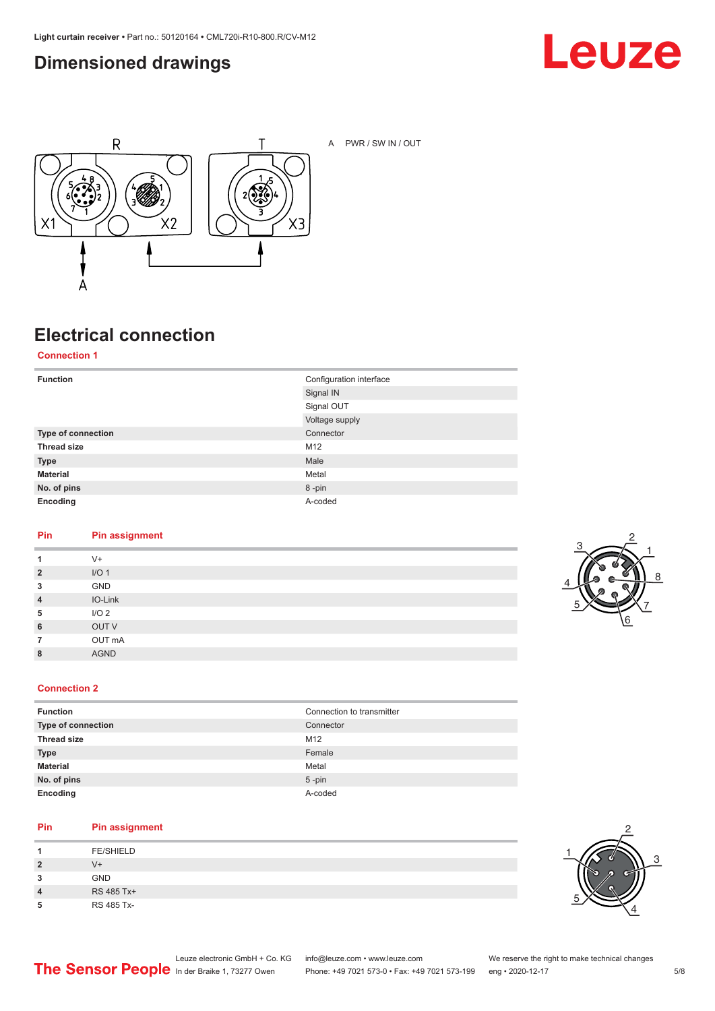## <span id="page-4-0"></span>**Dimensioned drawings**





A PWR / SW IN / OUT

## **Electrical connection**

**Connection 1**

| <b>Function</b>    | Configuration interface<br>Signal IN |
|--------------------|--------------------------------------|
|                    | Signal OUT                           |
|                    | Voltage supply                       |
| Type of connection | Connector                            |
| <b>Thread size</b> | M12                                  |
| <b>Type</b>        | Male                                 |
| <b>Material</b>    | Metal                                |
| No. of pins        | 8-pin                                |
| Encoding           | A-coded                              |

#### **Pin Pin assignment**

| 1              | $V +$            |
|----------------|------------------|
| $\overline{2}$ | I/O <sub>1</sub> |
| 3              | GND              |
| $\overline{4}$ | IO-Link          |
| 5              | I/O <sub>2</sub> |
| 6              | OUT V            |
| $\overline{7}$ | OUT mA           |
| 8              | <b>AGND</b>      |
|                |                  |



#### **Connection 2**

| <b>Function</b>    | Connection to transmitter |
|--------------------|---------------------------|
| Type of connection | Connector                 |
| <b>Thread size</b> | M12                       |
| <b>Type</b>        | Female                    |
| <b>Material</b>    | Metal                     |
| No. of pins        | $5 - pin$                 |
| Encoding           | A-coded                   |

#### **Pin Pin assignment**

|   | <b>FE/SHIELD</b> |
|---|------------------|
| 2 | $V +$            |
| 3 | <b>GND</b>       |
| 4 | RS 485 Tx+       |
| 5 | RS 485 Tx-       |

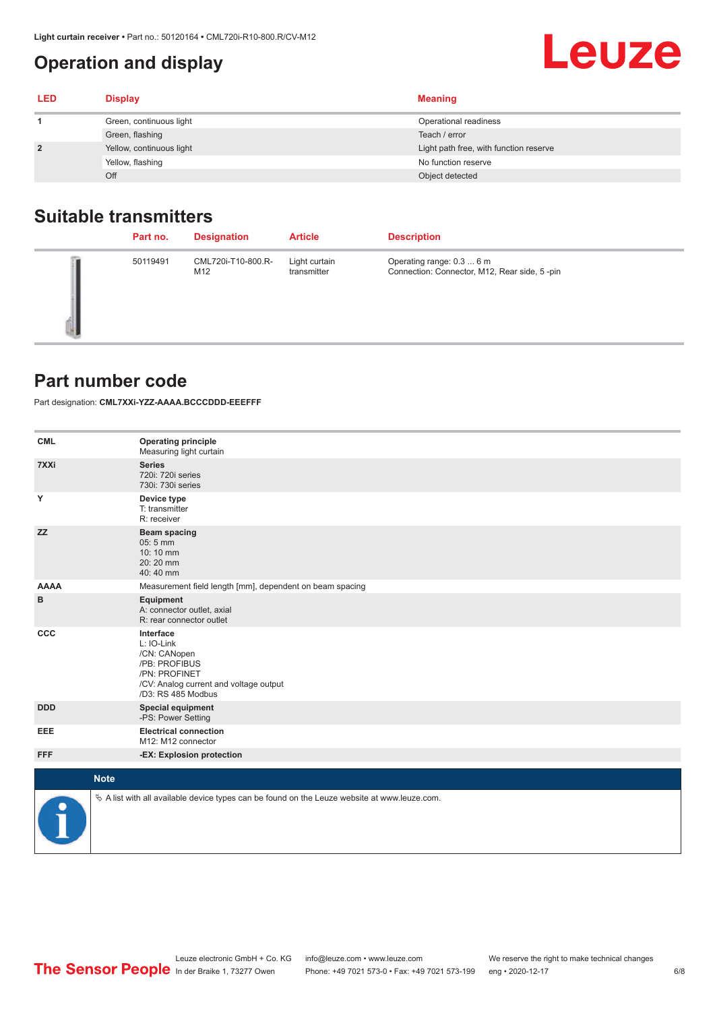## <span id="page-5-0"></span>**Operation and display**

| <b>LED</b>     | <b>Display</b>           | <b>Meaning</b>                         |
|----------------|--------------------------|----------------------------------------|
|                | Green, continuous light  | Operational readiness                  |
|                | Green, flashing          | Teach / error                          |
| $\overline{2}$ | Yellow, continuous light | Light path free, with function reserve |
|                | Yellow, flashing         | No function reserve                    |
|                | Off                      | Object detected                        |

### **Suitable transmitters**

| Part no. | <b>Designation</b>        | <b>Article</b>               | <b>Description</b>                                                        |
|----------|---------------------------|------------------------------|---------------------------------------------------------------------------|
| 50119491 | CML720i-T10-800.R-<br>M12 | Light curtain<br>transmitter | Operating range: 0.3  6 m<br>Connection: Connector, M12, Rear side, 5-pin |

#### **Part number code**

Part designation: **CML7XXi-YZZ-AAAA.BCCCDDD-EEEFFF**

| <b>CML</b>           | <b>Operating principle</b><br>Measuring light curtain                                                                                     |
|----------------------|-------------------------------------------------------------------------------------------------------------------------------------------|
| 7XXi                 | <b>Series</b><br>720i: 720i series<br>730i: 730i series                                                                                   |
| Y                    | Device type<br>T: transmitter<br>R: receiver                                                                                              |
| <b>ZZ</b>            | <b>Beam spacing</b><br>05:5 mm<br>10:10 mm<br>20:20 mm<br>40:40 mm                                                                        |
| <b>AAAA</b>          | Measurement field length [mm], dependent on beam spacing                                                                                  |
| в                    | Equipment<br>A: connector outlet, axial<br>R: rear connector outlet                                                                       |
| CCC                  | Interface<br>L: IO-Link<br>/CN: CANopen<br>/PB: PROFIBUS<br>/PN: PROFINET<br>/CV: Analog current and voltage output<br>/D3: RS 485 Modbus |
| <b>DDD</b>           | <b>Special equipment</b><br>-PS: Power Setting                                                                                            |
| <b>EEE</b>           | <b>Electrical connection</b><br>M12: M12 connector                                                                                        |
| <b>FFF</b>           | -EX: Explosion protection                                                                                                                 |
| <b>Note</b>          |                                                                                                                                           |
|                      |                                                                                                                                           |
| $\ddot{\phantom{1}}$ | $\&$ A list with all available device types can be found on the Leuze website at www.leuze.com.                                           |

**Leuze**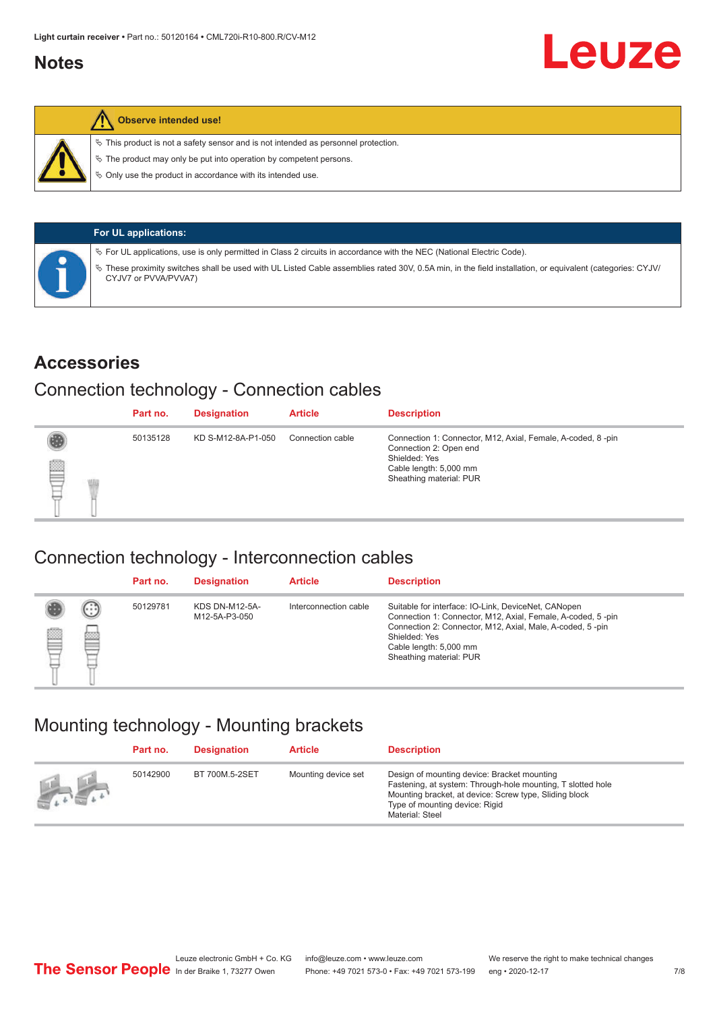#### <span id="page-6-0"></span>**Notes**



#### **Observe intended use!**

 $\%$  This product is not a safety sensor and is not intended as personnel protection.

 $\%$  The product may only be put into operation by competent persons.

 $\%$  Only use the product in accordance with its intended use.

| <b>For UL applications:</b>                                                                                                                                                       |
|-----------------------------------------------------------------------------------------------------------------------------------------------------------------------------------|
| $\%$ For UL applications, use is only permitted in Class 2 circuits in accordance with the NEC (National Electric Code).                                                          |
| V These proximity switches shall be used with UL Listed Cable assemblies rated 30V, 0.5A min, in the field installation, or equivalent (categories: CYJV/<br>CYJV7 or PVVA/PVVA7) |

#### **Accessories**

#### Connection technology - Connection cables

|   | Part no. | <b>Designation</b> | <b>Article</b>   | <b>Description</b>                                                                                                                                          |
|---|----------|--------------------|------------------|-------------------------------------------------------------------------------------------------------------------------------------------------------------|
| ₿ | 50135128 | KD S-M12-8A-P1-050 | Connection cable | Connection 1: Connector, M12, Axial, Female, A-coded, 8-pin<br>Connection 2: Open end<br>Shielded: Yes<br>Cable length: 5,000 mm<br>Sheathing material: PUR |

#### Connection technology - Interconnection cables

|   |                   | Part no. | <b>Designation</b>                     | <b>Article</b>        | <b>Description</b>                                                                                                                                                                                                                                    |
|---|-------------------|----------|----------------------------------------|-----------------------|-------------------------------------------------------------------------------------------------------------------------------------------------------------------------------------------------------------------------------------------------------|
| Ø | $(\cdot$ : :<br>Þ | 50129781 | <b>KDS DN-M12-5A-</b><br>M12-5A-P3-050 | Interconnection cable | Suitable for interface: IO-Link, DeviceNet, CANopen<br>Connection 1: Connector, M12, Axial, Female, A-coded, 5-pin<br>Connection 2: Connector, M12, Axial, Male, A-coded, 5-pin<br>Shielded: Yes<br>Cable length: 5,000 mm<br>Sheathing material: PUR |

#### Mounting technology - Mounting brackets

|                 | Part no. | <b>Designation</b> | <b>Article</b>      | <b>Description</b>                                                                                                                                                                                                        |
|-----------------|----------|--------------------|---------------------|---------------------------------------------------------------------------------------------------------------------------------------------------------------------------------------------------------------------------|
| <b>All Card</b> | 50142900 | BT 700M.5-2SET     | Mounting device set | Design of mounting device: Bracket mounting<br>Fastening, at system: Through-hole mounting, T slotted hole<br>Mounting bracket, at device: Screw type, Sliding block<br>Type of mounting device: Rigid<br>Material: Steel |

Leuze